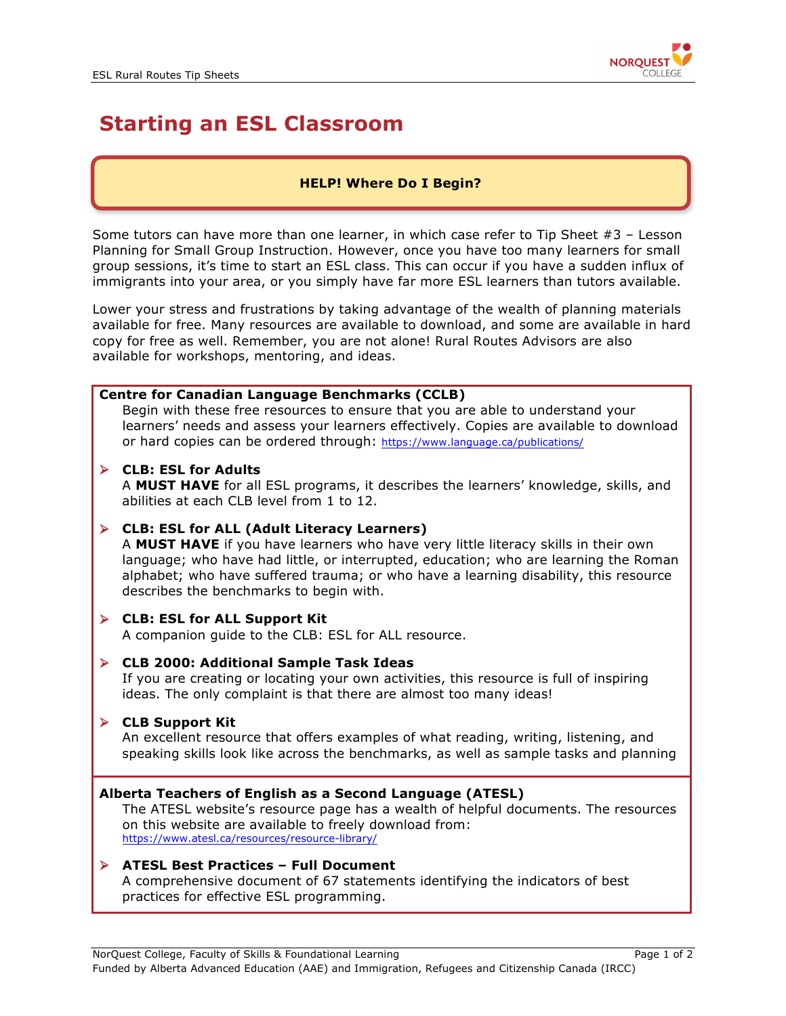

# **Starting an ESL Classroom**

# **HELP! Where Do I Begin?**

Some tutors can have more than one learner, in which case refer to Tip Sheet  $#3$  – Lesson Planning for Small Group Instruction. However, once you have too many learners for small group sessions, it's time to start an ESL class. This can occur if you have a sudden influx of immigrants into your area, or you simply have far more ESL learners than tutors available.

Lower your stress and frustrations by taking advantage of the wealth of planning materials available for free. Many resources are available to download, and some are available in hard copy for free as well. Remember, you are not alone! Rural Routes Advisors are also available for workshops, mentoring, and ideas.

## **Centre for Canadian Language Benchmarks (CCLB)**

Begin with these free resources to ensure that you are able to understand your learners' needs and assess your learners effectively. Copies are available to download or hard copies can be ordered through: https://www.language.ca/publications/

#### Ø **CLB: ESL for Adults**

A **MUST HAVE** for all ESL programs, it describes the learners' knowledge, skills, and abilities at each CLB level from 1 to 12.

## Ø **CLB: ESL for ALL (Adult Literacy Learners)**

A **MUST HAVE** if you have learners who have very little literacy skills in their own language; who have had little, or interrupted, education; who are learning the Roman alphabet; who have suffered trauma; or who have a learning disability, this resource describes the benchmarks to begin with.

## Ø **CLB: ESL for ALL Support Kit**

A companion guide to the CLB: ESL for ALL resource.

#### Ø **CLB 2000: Additional Sample Task Ideas**

If you are creating or locating your own activities, this resource is full of inspiring ideas. The only complaint is that there are almost too many ideas!

## Ø **CLB Support Kit**

An excellent resource that offers examples of what reading, writing, listening, and speaking skills look like across the benchmarks, as well as sample tasks and planning

#### **Alberta Teachers of English as a Second Language (ATESL)**

The ATESL website's resource page has a wealth of helpful documents. The resources on this website are available to freely download from: https://www.atesl.ca/resources/resource-library/

#### Ø **ATESL Best Practices – Full Document**

A comprehensive document of 67 statements identifying the indicators of best practices for effective ESL programming.